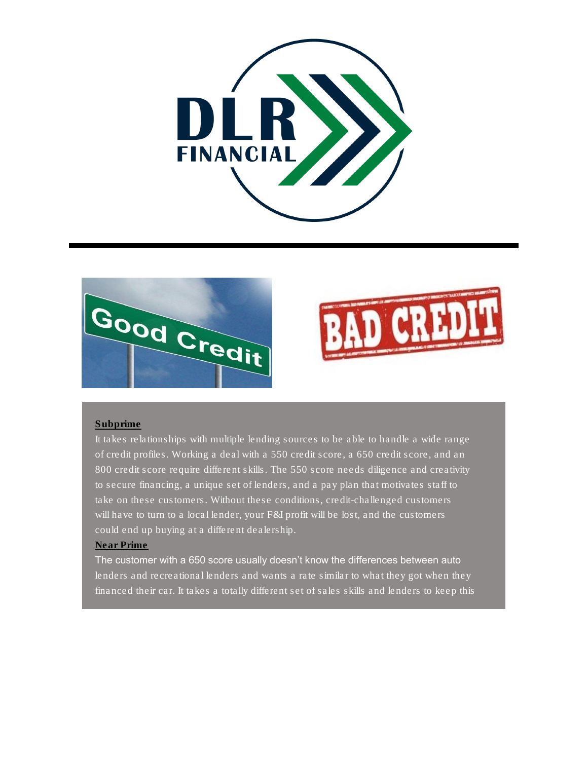





## Subprime

It takes relationships with multiple lending sources to be able to handle a wide range of credit profiles. Working a deal with a 550 credit score, a 650 credit score, and an 800 credit score require different skills. The 550 score needs diligence and creativity to secure financing, a unique set of lenders, and a pay plan that motivates staff to take on these customers. Without these conditions, credit-challenged customers will have to turn to a local lender, your F&I profit will be lost, and the customers could end up buying at a different dealership.

## Near Prime

The customer with a 650 score usually doesn't know the differences between auto lenders and recreational lenders and wants a rate similar to what they got when they financed their car. It takes a totally different set of sales skills and lenders to keep this